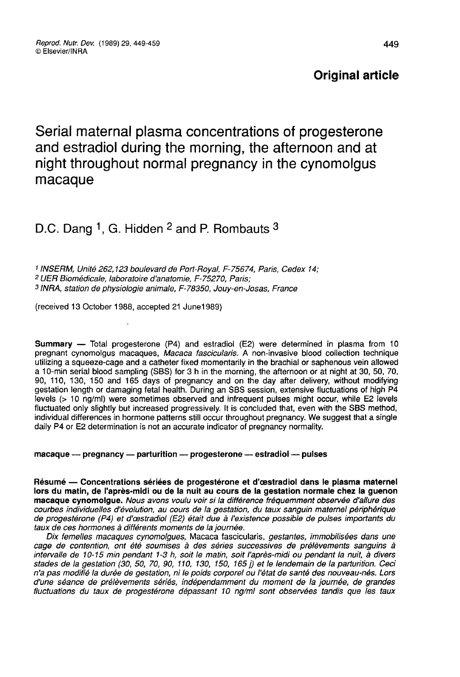# Original article

Serial maternal plasma concentrations of progesterone and estradiol during the morning, the afternoon and at night throughout normal pregnancy in the cynomolgus macaque

# D.C. Dang <sup>1</sup>, G. Hidden <sup>2</sup> and P. Rombauts <sup>3</sup>

<sup>1</sup> INSERM, Unité 262,123 boulevard de Port-Royal, F-75674, Paris, Cedex 14;<br><sup>2</sup> UER Biomédicale, laboratoire d'anatomie, F-75270, Paris; 3 INRA, station de physiologie animale, F-78350, Jouy-en-Josas, France

(received 13 October 1988, accepted 21 June1989)

Summary ― Total progesterone (P4) and estradiol (E2) were determined in plasma from 10 pregnant cynomolgus macaques, Macaca fascicularis. A non-invasive blood collection technique utilizing a squeeze-cage and a catheter fixed momentarily in the brachial or saphenous vein allowed a 10-min serial blood sampling (SBS) for 3 h in the morning, the afternoon or at night at 30, 50, 70, 90, 110, 130, 150 and 165 days of pregnancy and on the day after delivery, without modifying gestation length or damaging fetal health. During an SBS session, extensive fluctuations of high P4 levels (> 10 ng/ml) were sometimes observed and infrequent pulses might occur, while E2 levels fluctuated only slightly but increased progressively. It is concluded that, even with the SBS method, individual differences in hormone patterns still occur throughout pregnancy. We suggest that a single daily P4 or E2 determination is not an accurate indicator of pregnancy normality.

macaque — pregnancy — parturition — progesterone — estradiol — pulses

Résumé ― Concentrations sériées de progestérone et d'oestradiol dans le plasma maternel lors du matin, de l'après-midi ou de la nuit au cours de la gestation normale chez la guenon macaque cynomolgue. Nous avons voulu voir si la différence fréquemment observée d'allure des courbes individuelles d'évolution, au cours de la gestation, du taux sanguin maternel périphérique de progestérone (P4) et d'œstradiol (E2) était due à l'existence possible de pulses importants du taux de ces hormones à différents moments de la journée.

Dix femelles macaques cynomoigues, Macaca fascicularis, gestantes, immobilisées dans une cage de contention, ont été soumises à des séries successives de prélèvements sanguins à intervalle de f0-i5 min pendant 1-3 h, soit le matin, soit l'après-midi ou pendant la nuit, à divers stades de la gestation (30, 50, 70, 90, 110, 130, 150, 165 j) et le lendemain de la parturition. Ceci n'a pas modifié la durée de gestation, ni le poids corporel ou l'état de santé des nouveau-nés. Lors d'une séance de prélèvements sériés, indépendamment du moment de la journée, de grandes fluctuations du taux de progestérone dépassant 10 ng/ml sont observées tandis que les taux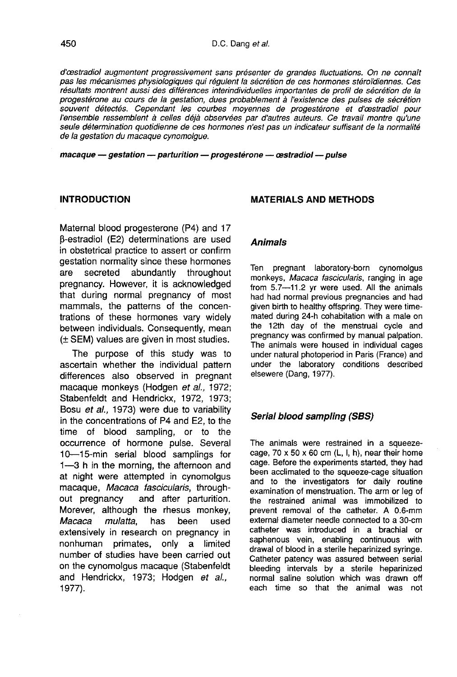d'cestradiol augmentent progressivement sans présenter de grandes fluctuations. On ne connaît pas les mécanismes physiologiques qui régulent la sécrétion de ces hormones stéroidiennes. Ces résultats montrent aussi des différences interindividuelles importantes de profil de sécrétion de la progestérone au cours de la gestation, dues probablement à l'existence des pulses de sécrétion<br>souvent détectés. Cependant les courbes moyennes de progestérone et d'œstradiol pour d'œstradiol augmentent progressivement sans présenter de grandes fluctuations. On ne connaît<br>pas les mécanismes physiologiques qui régulent la sécrétion de ces hormones stéroïdiennes. Ces<br>résultats montrent aussi des diffé l'ensemble ressemblent à celles déjà observées par d'autres auteurs. Ce travail montre qu'une seule détermination quotidienne de ces hormones n'est pas un indicateur suffisant de la normalité de la gestation du macaque cynomolgue.

 $macaque - gestation - parturition - progenetic - eastradio - pulse$ 

#### INTRODUCTION

Maternal blood progesterone (P4) and 17 (3-estradiol (E2) determinations are used in obstetrical practice to assert or confirm gestation normality since these hormones are secreted abundantly throughout pregnancy. However, it is acknowledged that during normal pregnancy of most mammals, the patterns of the concentrations of these hormones vary widely between individuals. Consequently, mean (± SEM) values are given in most studies.

The purpose of this study was to ascertain whether the individual pattern differences also observed in pregnant macaque monkeys (Hodgen et al., 1972; Stabenfeldt and Hendrickx, 1972, 1973; Bosu et al., 1973) were due to variability in the concentrations of P4 and E2, to the time of blood sampling, or to the occurrence of hormone pulse. Several 10-15-min serial blood samplings for 1―3 h in the morning, the afternoon and at night were attempted in cynomolgus macaque, Macaca fascicularis, through-<br>out pregnancy and after parturition. and after parturition. Morever, although the rhesus monkey,<br>Macaca mulatta, has been used mulatta, extensively in research on pregnancy in nonhuman primates, only a limited number of studies have been carried out on the cynomolgus macaque (Stabenfeldt and Hendrickx, 1973; Hodgen et al., 1977).

# MATERIALS AND METHODS

#### Animals

Ten pregnant laboratory-born cynomolgus monkeys, Macaca fascicularis, ranging in age from 5.7―11.2 yr were used. All the animals had had normal previous pregnancies and had given birth to healthy offspring. They were timemated during 24-h cohabitation with a male on the 12th day of the menstrual cycle and pregnancy was confirmed by manual palpation. The animals were housed in individual cages under natural photoperiod in Paris (France) and under the laboratory conditions described elsewere (Dang, 1977).

# Serial blood sampling (SBS)

The animals were restrained in a squeezecage,  $70 \times 50 \times 60$  cm (L, I, h), near their home cage. Before the experiments started, they had been acclimated to the squeeze-cage situation and to the investigators for daily routine examination of menstruation. The arm or leg of the restrained animal was immobilized to prevent removal of the catheter. A 0.6-mm external diameter needle connected to a 30-cm catheter was introduced in a brachial or saphenous vein, enabling continuous with drawal of blood in a sterile heparinized syringe. Catheter patency was assured between serial bleeding intervals by a sterile heparinized normal saline solution which was drawn off each time so that the animal was not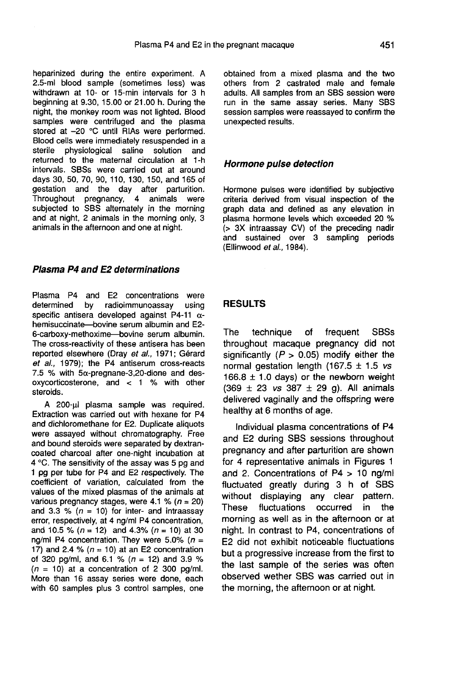heparinized during the entire experiment. A 2.5-ml blood sample (sometimes less) was withdrawn at 10- or 15-min intervals for 3 h beginning at 9.30, 15.00 or 21.00 h. During the night, the monkey room was not lighted. Blood samples were centrifuged and the plasma stored at -20 °C until RIAs were performed. Blood cells were immediately resuspended in a<br>sterile physiological saline solution and physiological saline solution and returned to the maternal circulation at 1-h intervals. SBSs were carried out at around days 30, 50, 70, 90, 110, 130, 150, and 165 of gestation and the day after parturition. Throughout pregnancy, 4 animals were subjected to SBS alternately in the morning and at night, 2 animals in the morning only, 3 animals in the afternoon and one at night.

### Plasma P4 and E2 determinations

Plasma P4 and E2 concentrations were determined by radioimmunoassay using specific antisera developed against P4-11  $\alpha$ hemisuccinate-bovine serum albumin and E2- 6-carboxy-methoxime-bovine serum albumin. The cross-reactivity of these antisera has been reported elsewhere (Dray et al., 1971; Gérard et al., 1979); the P4 antiserum cross-reacts 7.5 % with  $5\alpha$ -pregnane-3,20-dione and desoxycorticosterone, and < 1 % with other steroids.

A 200-ul plasma sample was required. Extraction was carried out with hexane for P4 and dichloromethane for E2. Duplicate aliquots were assayed without chromatography. Free and bound steroids were separated by dextrancoated charcoal after one-night incubation at 4 °C. The sensitivity of the assay was 5 pg and 1 pg per tube for P4 and E2 respectively. The coefficient of variation, calculated from the values of the mixed plasmas of the animals at various pregnancy stages, were 4.1 % ( $n = 20$ ) and 3.3 % ( $n = 10$ ) for inter- and intraassay error, respectively, at 4 ng/ml P4 concentration, and 10.5 % ( $n = 12$ ) and 4.3% ( $n = 10$ ) at 30 ng/ml P4 concentration. They were 5.0% ( $n =$ 17) and 2.4 % ( $n = 10$ ) at an E2 concentration of 320 pg/ml, and 6.1 % ( $n = 12$ ) and 3.9 %  $(n = 10)$  at a concentration of 2 300 pg/ml. More than 16 assay series were done, each with 60 samples plus 3 control samples, one

obtained from a mixed plasma and the two others from 2 castrated male and female adults. All samples from an SBS session were run in the same assay series. Many SBS session samples were reassayed to confirm the unexpected results.

#### Hormone pulse detection

Hormone pulses were identified by subjective criteria derived from visual inspection of the graph data and defined as any elevation in plasma hormone levels which exceeded 20 % (> 3X intraassay CV) of the preceding nadir and sustained over 3 sampling periods (Ellinwood et al., 1984).

#### RESULTS

The technique of frequent SBSs throughout macaque pregnancy did not significantly ( $P > 0.05$ ) modify either the normal gestation length (167.5  $\pm$  1.5 vs 166.8  $\pm$  1.0 days) or the newborn weight  $(369 \pm 23 \text{ vs } 387 \pm 29 \text{ q})$ . All animals delivered vaginally and the offspring were healthy at 6 months of age.

Individual plasma concentrations of P4 and E2 during SBS sessions throughout pregnancy and after parturition are shown for 4 representative animals in Figures 1 and 2. Concentrations of P4 > 10 ng/ml fluctuated greatly during 3 h of SBS without displaying any clear pattern.<br>These fluctuations occurred in the fluctuations occurred in the morning as well as in the afternoon or at night. In contrast to P4, concentrations of E2 did not exhibit noticeable fluctuations but a progressive increase from the first to the last sample of the series was often observed wether SBS was carried out in the morning, the afternoon or at night.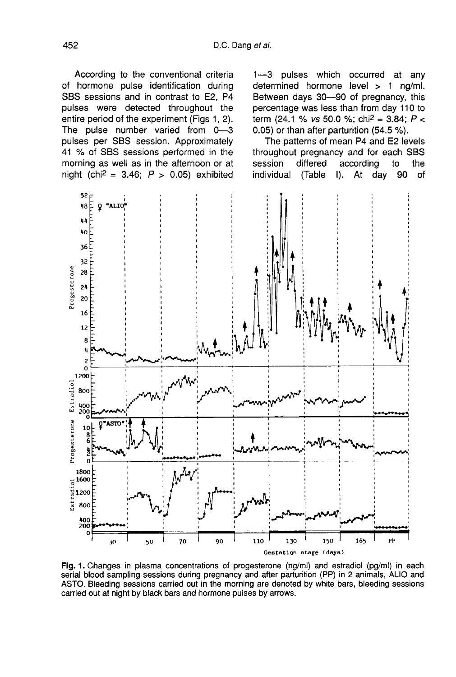According to the conventional criteria of hormone pulse identification during SBS sessions and in contrast to E2, P4 pulses were detected throughout the entire period of the experiment (Figs 1, 2). The pulse number varied from  $0-3$ pulses per SBS session. Approximately 41 % of SBS sessions performed in the morning as well as in the afternoon or at night (chi<sup>2</sup> = 3.46;  $P > 0.05$ ) exhibited

1―3 pulses which occurred at any determined hormone level > 1 ng/ml. Between days 30-90 of pregnancy, this percentage was less than from day 110 to term (24.1 % vs 50.0 %; chi<sup>2</sup> = 3.84;  $P$  < 0.05) or than after parturition (54.5 %).

The patterns of mean P4 and E2 levels throughout pregnancy and for each SBS<br>session differed according to the session differed according to the<br>individual (Table I). At day 90 of At day



Fig. 1. Changes in plasma concentrations of progesterone (ng/ml) and estradiol (pg/ml) in each serial blood sampling sessions during pregnancy and after parturition (PP) in 2 animals, ALIO and ASTO. Bleeding sessions carried out in the morning are denoted by white bars, bleeding sessions carried out at night by black bars and hormone pulses by arrows.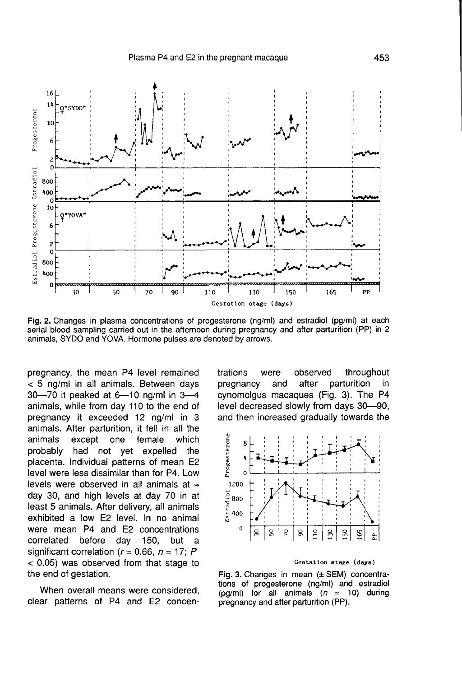

Fig. 2. Changes in plasma concentrations of progesterone (ng/ml) and estradiol (pg/ml) at each serial blood sampling carried out in the afternoon during pregnancy and after parturition (PP) in 2 animals, SYDO and YOVA. Hormone pulses are denoted by arrows.

pregnancy, the mean P4 level remained < 5 ng/ml in all animals. Between days 30―70 it peaked at 6―10 ng/ml in 3―4 animals, while from day 110 to the end of pregnancy it exceeded 12 ng/ml in 3 animals. After parturition, it fell in all the except one probably had not yet expelled the placenta. Individual patterns of mean E2 level were less dissimilar than for P4. Low levels were observed in all animals at  $\approx$ day 30, and high levels at day 70 in at least 5 animals. After delivery, all animals exhibited a low E2 level. In no animal were mean P4 and E2 concentrations correlated before day 150, but a significant correlation ( $r = 0.66$ ,  $n = 17$ ; P < 0.05) was observed from that stage to the end of gestation.

When overall means were considered, clear patterns of P4 and E2 concentrations were observed throughout<br>pregnancy and after parturition in pregnancy cynomolgus macaques (Fig. 3). The P4 level decreased slowly from days 30-90, and then increased gradually towards the



#### Gestation stage (days)

Fig. 3. Changes in mean (± SEM) concentrations of progesterone (ng/ml) and estradiol (pg/ml) for all animals  $(n = 10)$  during pregnancy and after parturition (PP).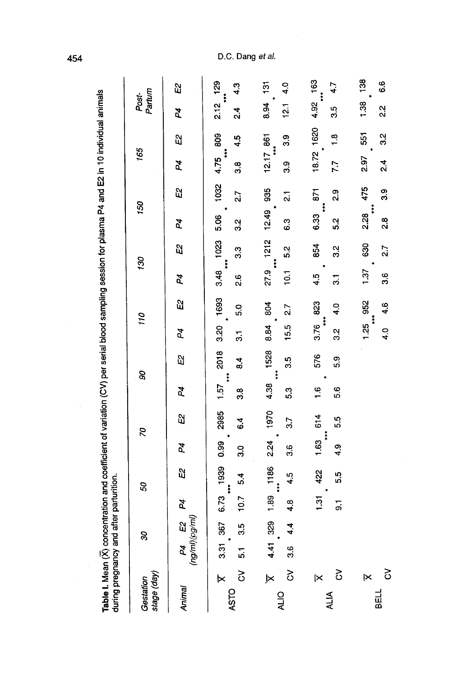| ׇ֧֦֧֧֦֧֦֧֚֡֝֝֬֝֬<br>֧֚֝<br>ׇׇ֧֧֧֧֧֚֚֚֚֚֚֚֚֚֚֚֚֚֚֚֚֚֚֚֚֚֚֚֚֝֡֡֬ <u>֚֓</u><br>j<br>í<br>۱<br>j<br>۔<br>ا |  |
|--------------------------------------------------------------------------------------------------------|--|
|--------------------------------------------------------------------------------------------------------|--|

| stage (day)<br>Gestation                                          |     | S                       |            | 50                                             |                                                    | 8Z               | 90                    |                                                |                                         | 110                          |                      | 130                                       | 150                                  |                                                  | 165                                           |                | Post-<br>Partum             |       |
|-------------------------------------------------------------------|-----|-------------------------|------------|------------------------------------------------|----------------------------------------------------|------------------|-----------------------|------------------------------------------------|-----------------------------------------|------------------------------|----------------------|-------------------------------------------|--------------------------------------|--------------------------------------------------|-----------------------------------------------|----------------|-----------------------------|-------|
| Animal                                                            |     | P4 E2<br>(ng/ml)(pg/ml) | P4         | S)                                             | Þ4                                                 | <u>ង</u>         | Þ4                    | ង<br>                                          | Þ4                                      | ដ                            | P4                   | ដ្ឋ                                       | 4                                    | ů,                                               | <b>P4</b>                                     | ង              | 74                          | ដ<br> |
| $\overline{\mathsf{K}}$<br>$\mathcal{S}_{0}^{(n)}$<br><b>ASTO</b> | 57  | 3.31 367<br>35          | 10.7       | 6.73 1939<br>54<br>54<br>$\ddot{\ddot{\cdot}}$ | 0.99<br>3.0                                        | 2985<br>6.4      | $1.57$ 2018<br>.<br>ෆ | $\frac{4}{3}$                                  | $\frac{1}{2}$                           | 3.20 1693<br>5.0             | 2.6                  | 3.48 1023<br>33<br>$\ddot{\ddot{\cdot}}$  | 5.06<br>32<br>3                      | 1032<br>2.7                                      | 4.75 809<br>$\ddot{\ddot{\cdot}}$<br><u>ფ</u> | 4.5            | $2.12$ 129<br>$\frac{4}{3}$ | 43    |
| ×<br>$\delta$<br><b>ALIO</b>                                      | 3.6 | 4.41 329<br>4.4         | 4.8        | 1.89 1186<br>4.5                               | 36                                                 | 2.24 1970<br>3.7 | 53                    | 4.38 1528<br>95<br>91<br>$\ddot{\ddot{\cdot}}$ | 8.84<br>15.5                            | 804<br>$\overline{27}$       | 10.1                 | 27.9 1212<br>5.2<br>$\ddot{\ddot{\cdot}}$ | 12.49<br>6.3                         | 935<br>$\overline{\mathbf{a}}$                   | $12.17$ 861<br>ი<br>თ                         | <u>ვ.</u><br>ŧ | 8.94 131<br>12.1            | 4.0   |
| <u>ૅ</u><br>1×<br><b>ALIA</b>                                     |     |                         | 1.31<br>5. | 422<br>5.5                                     | 1.63 614<br>$\ddot{\ddot{\cdot}}$<br>$\frac{1}{4}$ | 5.5              | $\frac{6}{1}$<br>5.6  | 576<br>5.3                                     | $\ddot{\ddot{\cdot}}$<br>3.76<br>.<br>જ | 823<br>$\frac{0}{4}$         | 4.5<br>$\frac{1}{3}$ | 854<br>32                                 | 5.2<br>6.33                          | <b>671</b><br>್ಷ<br>ನ<br>$\ddot{\ddot{\bullet}}$ | $7.7$ 1.8                                     | 18.72 1620     | $4.92$ 163<br>3.5           | 4.7   |
| ×<br>BELL                                                         | δ   |                         |            |                                                |                                                    |                  |                       |                                                | 1.25                                    | 4.0 4.6<br>952<br>$\ddot{x}$ | 1.37<br>3.6          | 630<br>2.7                                | $\ddot{\dot{}}$<br>2.28<br>್ಷ<br>2.8 | 475<br><u>ო</u>                                  | 2.97<br><u>ત્રં</u>                           | 32<br>3<br>551 | 1.38 138<br>$\frac{2}{3}$   | 6.6   |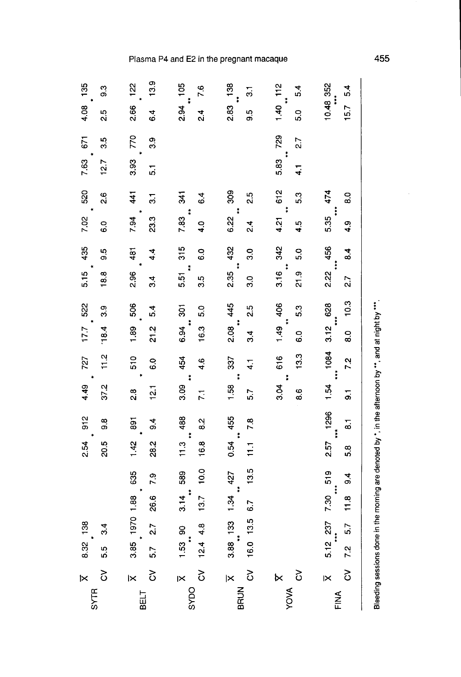| 135                     | 93             | 13.9<br>122                   | 7.6                                              | 138<br>$\overline{\mathbf{3}}$                      | 5.4                                                           | 5.4                                                        |
|-------------------------|----------------|-------------------------------|--------------------------------------------------|-----------------------------------------------------|---------------------------------------------------------------|------------------------------------------------------------|
| 4.08                    | 2.5            | 2.66<br>64                    | 2.94 105<br>ન<br>બં                              | 2.83<br>9.5                                         | $1.40$ 112<br>ິດ<br>ທີ່                                       | $10.48$ 352<br>15.7                                        |
| 671                     | 3.5            | 770<br>3.9                    |                                                  |                                                     | 729<br>27                                                     |                                                            |
| 7.63                    | 12.7           | 3.93<br>5.1                   |                                                  |                                                     | $\ddot{\ddot{\phantom{}}\phantom{}}$<br>5.83<br>$\frac{1}{4}$ |                                                            |
| 520                     | <u>୍</u>       | 41<br>$\overline{\mathbf{3}}$ | $\frac{1}{3}$<br>6.4                             | 309<br>2.5                                          | 612<br>5.3<br>$\ddot{\ddot{\rm s}}$                           | 474<br>o.o                                                 |
| 7.02                    | $\overline{0}$ | 7.94<br>23.3                  | $\ddot{\ddot{\text{}}}$<br>7.83<br>$\frac{1}{4}$ | $\ddot{\ddot{\ }}$<br>6.22<br>$\frac{4}{2}$         | 4.21<br>4.5                                                   | $\ddot{ }$<br>5.35<br>4.9                                  |
| 435                     | 9.5            | 481<br>4.4                    | 315<br>$\ddot{\circ}$                            | 432<br>3.0<br>$\ddot{\ddot{\cdot}}$                 | 342<br>5.0                                                    | 456<br>$\overline{a}$                                      |
| 5.15                    | 18.8           | 2.96<br>34                    | $\ddot{\ddot{\imath}}$<br>5.51<br>3.5            | 2.35<br>3.0                                         | $rac{16}{3.16}$ :<br>0.<br>21.9                               | 2.22<br>2.7                                                |
| 522                     | ာ              | 506<br>5.4                    | $\overline{5}$<br>5.0                            | 445<br>2.5                                          | $1.49$ 406<br>5.3                                             | 10.3<br>628<br>***                                         |
| 17.7                    | 18.4           | 1.89<br>21.2                  | $6.94$ *<br>16.3                                 | ÷<br>2.08<br>34                                     | c.o                                                           | 3.12<br>8.0                                                |
| 727                     | $\frac{2}{11}$ | 510<br>C.O                    | 454<br>4.6                                       | 337<br>$\frac{1}{4}$                                | 616<br>13.3                                                   | $\begin{array}{c} \n 1084 \\ \cdots \n \end{array}$<br>7.2 |
| 4.49                    | 37.2           | $\frac{1}{2}$<br><u>ನಿ</u>    | $\mathcal{A}$<br>3.09<br>$\overline{2}$          | $\ddot{\ddot{\phantom{}}\phantom{}}$<br>1.58<br>5.7 | $\sim$<br>3.04<br>8.6                                         | 1.54<br>$\overline{5}$                                     |
| $\frac{1}{91}$          | 9.8            | 891<br>$\frac{4}{9}$          | 488<br>82                                        | 455                                                 |                                                               | 1296<br>$\overline{\bullet}$                               |
| 2.54                    | 20.5           | 28.2<br>1.42                  | $\frac{3}{11}$<br>16.8                           | $11.1$ 7.8<br>$\ddagger$<br>0.54                    |                                                               | 2.57<br>5.8                                                |
|                         |                | 635<br>7.9                    | 10.0<br>589                                      | 13.5<br>427<br>$\ddot{\ddot{\cdot}}$                |                                                               | 519<br>$\frac{4}{9}$                                       |
|                         |                | 3.85 1970 1.88<br>26.6        | $3.14$ $\cdot$<br>13.7                           | 1.34<br>6.7                                         |                                                               | 7.30<br>11.8                                               |
| 138                     | 31             | 27                            | <u>ခ</u><br>4.8                                  | 16.0 13.5<br>$3.88$ 133                             |                                                               | $5.12$ 237<br>5.7                                          |
| 8.32                    | 55<br>5        | 5.7                           | $1.53$ :<br>12.4                                 |                                                     |                                                               | 7.2                                                        |
| $\overline{\mathsf{x}}$ | 3              | <u>ર</u><br>⋉                 | δ<br>⋉                                           | δ<br>$\overline{\mathsf{x}}$                        | 3<br>×                                                        | δ<br>K                                                     |
| <b>SYTR</b>             |                | BELT                          | SYDO                                             | BRUN                                                | YOVA                                                          | FINA                                                       |

Bleeding sessions done in the morning are denoted by \*, in the atternoon by \*\*, and at night by \*\*\*.

# Plasma P4 and E2 in the pregnant macaque

455

 $\hat{\boldsymbol{\epsilon}}$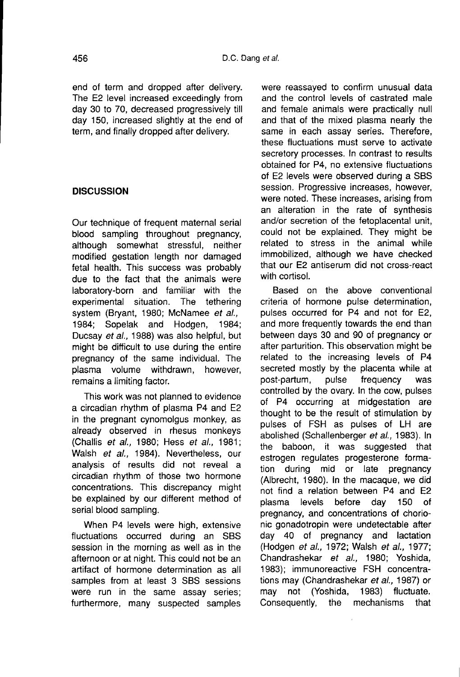end of term and dropped after delivery. The E2 level increased exceedingly from day 30 to 70, decreased progressively till day 150, increased slightly at the end of term, and finally dropped after delivery.

# **DISCUSSION**

Our technique of frequent maternal serial blood sampling throughout pregnancy, although somewhat stressful, neither modified gestation length nor damaged fetal health. This success was probably due to the fact that the animals were laboratory-born and familiar with the experimental situation. The tethering system (Bryant, 1980; McNamee *et al.,* 1984;<br>1984: Sopelak and Hodgen, 1984; 1984; Sopelak and Hodgen, Ducsay et al., 1988) was also helpful, but might be difficult to use during the entire pregnancy of the same individual. The plasma volume withdrawn, however, remains a limiting factor.

This work was not planned to evidence a circadian rhythm of plasma P4 and E2 in the pregnant cynomolgus monkey, as already observed in rhesus monkeys (Challis et al., 1980; Hess et al., 1981; Walsh et al., 1984). Nevertheless, our analysis of results did not reveal a circadian rhythm of those two hormone concentrations. This discrepancy might be explained by our different method of serial blood sampling.

When P4 levels were high, extensive fluctuations occurred during an SBS session in the morning as well as in the afternoon or at night. This could not be an artifact of hormone determination as all samples from at least 3 SBS sessions were run in the same assay series; furthermore, many suspected samples

were reassayed to confirm unusual data and the control levels of castrated male and female animals were practically null and that of the mixed plasma nearly the same in each assay series. Therefore, these fluctuations must serve to activate secretory processes. In contrast to results obtained for P4, no extensive fluctuations of E2 levels were observed during a SBS session. Progressive increases, however, were noted. These increases, arising from an alteration in the rate of synthesis and/or secretion of the fetoplacental unit, could not be explained. They might be related to stress in the animal while immobilized, although we have checked that our E2 antiserum did not cross-react with cortisol.

Based on the above conventional criteria of hormone pulse determination, pulses occurred for P4 and not for E2, and more frequently towards the end than between days 30 and 90 of pregnancy or after parturition. This observation might be related to the increasing levels of P4 secreted mostly by the placenta while at<br>post-partum. pulse frequency was post-partum, pulse frequency was controlled by the ovary. In the cow, pulses of P4 occurring at midgestation are thought to be the result of stimulation by pulses of FSH as pulses of LH are abolished (Schallenberger et al., 1983). In the baboon, it was suggested that estrogen regulates progesterone formation during mid or late pregnancy (Albrecht, 1980). In the macaque, we did not find a relation between P4 and E2 plasma levels before day 150 of pregnancy, and concentrations of chorionic gonadotropin were undetectable after day 40 of pregnancy and lactation (Hodgen et al., 1972; Walsh et al., 1977; Chandrashekar et al., 1980; Yoshida, 1983); immunoreactive FSH concentrations may (Chandrashekar et al., 1987) or may not (Yoshida, 1983) fluctuate.<br>Consequently, the mechanisms that Consequently, the mechanisms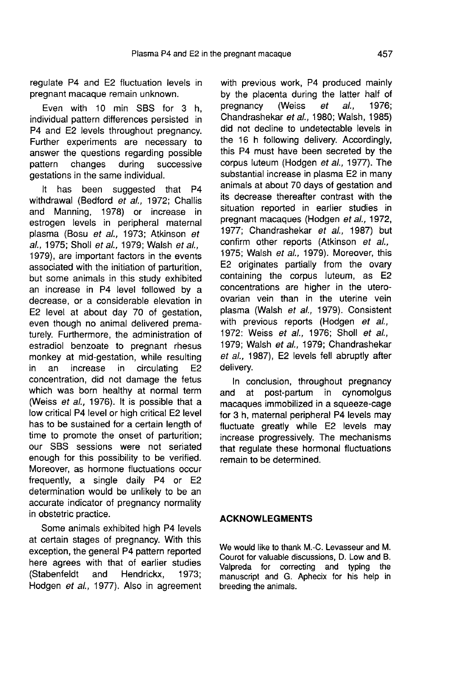regulate P4 and E2 fluctuation levels in pregnant macaque remain unknown.

Even with 10 min SBS for 3 h, individual pattern differences persisted in P4 and E2 levels throughout pregnancy. Further experiments are necessary to answer the questions regarding possible<br>pattern changes during successive successive gestations in the same individual.

It has been suggested that P4 withdrawal (Bedford et al., 1972; Challis and Manning, 1978) or increase in estrogen levels in peripheral maternal plasma (Bosu et al., 1973; Atkinson et al., 1975; Sholl et al., 1979; Walsh et al., 1979), are important factors in the events associated with the initiation of parturition, but some animals in this study exhibited an increase in P4 level followed by a decrease, or a considerable elevation in E2 level at about day 70 of gestation, even though no animal delivered prematurely. Furthermore, the administration of estradiol benzoate to pregnant rhesus monkey at mid-gestation, while resulting in an increase in circulating E2 concentration, did not damage the fetus which was born healthy at normal term (Weiss et al., 1976). It is possible that a low critical P4 level or high critical E2 level has to be sustained for a certain length of time to promote the onset of parturition; our SBS sessions were not seriated enough for this possibility to be verified. Moreover, as hormone fluctuations occur frequently, a single daily P4 or E2 determination would be unlikely to be an accurate indicator of pregnancy normality in obstetric practice.

Some animals exhibited high P4 levels at certain stages of pregnancy. With this exception, the general P4 pattern reported here agrees with that of earlier studies (Stabenfeldt and Hendrickx, 1973; Hodgen et al., 1977). Also in agreement

with previous work, P4 produced mainly by the placenta during the latter half of pregnancy (Weiss  $et$  al., 1976; pregnancy (Weiss *et al.,* 1976; Chandrashekar *et al.,* 1980; Walsh, 1985) did not decline to undetectable levels in the 16 h following delivery. Accordingly, this P4 must have been secreted by the corpus luteum (Hodgen et al., 1977). The substantial increase in plasma E2 in many animals at about 70 days of gestation and its decrease thereafter contrast with the situation reported in earlier studies in pregnant macaques (Hodgen et al., 1972, 1977; Chandrashekar et al., 1987) but confirm other reports (Atkinson et al., 1975; Walsh et al., 1979). Moreover, this E2 originates partially from the ovary containing the corpus luteum, as E2 concentrations are higher in the uteroovarian vein than in the uterine vein plasma (Walsh et al., 1979). Consistent with previous reports (Hodgen et al., 1972: Weiss et al., 1976; Sholl et al., 1979; Walsh et al., 1979; Chandrashekar et al., 1987). E2 levels fell abruptly after delivery.

In conclusion, throughout pregnancy and at post-partum in cynomolgus macaques immobilized in a squeeze-cage for 3 h, maternal peripheral P4 levels may fluctuate greatly while E2 levels may increase progressively. The mechanisms that regulate these hormonal fluctuations remain to be determined.

# ACKNOWLEGMENTS

We would like to thank M.-C. Levasseur and M. Courot for valuable discussions, D. Low and B. Valpreda for correcting and typing the manuscript and G. Aphecix for his help in breeding the animals.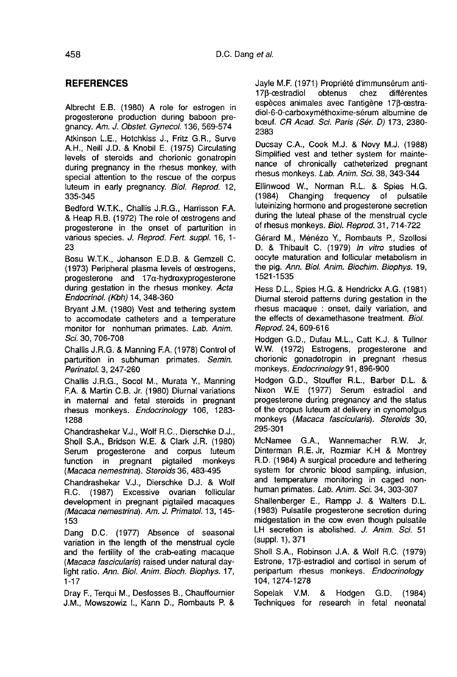# **REFERENCES**

Albrecht E.B. (1980) A role for estrogen in progesterone production during baboon pregnancy. Am. J. Obstet. Gynecol. 136, 569-574

Atkinson L.E., Hotchkiss J., Fritz G.R., Surve A.H., Neill J.D. & Knobil E. (1975) Circulating levels of steroids and chorionic gonatropin during pregnancy in the rhesus monkey, with special attention to the rescue of the corpus luteum in early pregnancy. Biol. Reprod. 12, 335-345

Bedford W.T.K., Challis J.R.G., Harrisson F.A. & Heap R.B. (1972) The role of oestrogens and progesterone in the onset of parturition in various species. J. Reprod. Fert. suppl. 16, 1- 23

Bosu W.T.K., Johanson E.D.B. & Gemzell C. (1973) Peripheral plasma levels of oestrogens, progesterone and 17a-hydroxyprogesterone during gestation in the rhesus monkey. Acta EndocrinoL (Kbh) 14, 348-360

Bryant J.M. (1980) Vest and tethering system to accomodate catheters and a temperature monitor for nonhuman primates. Lab. Anim. Sci. 30, 706-708

Challis J.R.G. & Manning F.A. (1978) Control of parturition in subhuman primates. Semin. Perinatol. 3, 247-260

Challis J.R.G., Socol M., Murata Y, Manning F.A. & Martin C.B. Jr. (1980) Diurnal variations in maternal and fetal steroids in pregnant rhesus monkeys. Endocrinology 106, 1283- 1288

Chandrashekar V.J., Wolf R.C., Dierschke D.J., Sholl S.A., Bridson W.E. & Clark J.R. (1980) Serum progesterone and corpus luteum function in pregnant pigtailed monkeys (Macaca nemestrina). Steroids 36, 483-495

Chandrashekar V.J., Dierschke D.J. & Wolf R.C. (1987) Excessive ovarian follicular development in pregnant pigtailed macaques (Macaca nemestrina). Am. J. Primatol. 13, 145- 153

Dang D.C. (1977) Absence of seasonal variation in the length of the menstrual cycle and the fertility of the crab-eating macaque (Macaca fascicularis) raised under natural daylight ratio. Ann. Biol. Anim. Bioch. Biophys. 17, 1-17

Dray F., Terqui M., Desfosses B., Chauffournier J.M., Mowszowiz I., Kann D., Rombauts P. & Jayle M.F. (1971) Propriete d'immunsérum antie*t al.*<br>Jayle M.F. (1971) Propriété d'immunsérum anti-<br>17β-œstradiol obtenus chez différentes<br>espèces animales avec l'antigène 17β-œstradiol-6-0-carboxyméthoxime-sérum albumine de bœuf. CR Acad. Sci. Paris (Sér. D) 173, 2380-2383

Ducsay C.A., Cook M.J. & Novy M.J. (1988) Simplified vest and tether system for maintenance of chronically catheterized pregnant rhesus monkeys. Lab. Anim. Sci. 38, 343-344

Ellinwood W., Norman R.L. & Spies H.G. (1984) Changing frequency of pulsatile luteinizing hormone and progesterone secretion during the luteal phase of the menstrual cycle of rhesus monkeys. Biol. Reprod. 31, 714-722

Gérard M., Ménézo Y., Rombauts P., Szollosi D. & Thibault C. (1979) In vitro studies of oocyte maturation and follicular metabolism in the pig. Ann. Biol. Anim. Biochim. Biophys. 19, 1521-1535

Hess D.L., Spies H.G. & Hendrickx A.G. (1981) Diurnal steroid patterns during gestation in the rhesus macaque : onset, daily variation, and the effects of dexamethasone treatment. Biol. Reprod. 24, 609-616

Hodgen G.D., Dufau M.L., Catt K.J. & Tullner W.W. (1972) Estrogens, progesterone and chorionic gonadotropin in pregnant rhesus monkeys. Endocrinology 91, 896-900

Hodgen G.D., Stouffer R.L., Barber D.L. & Nixon W.E (1977) Serum estradiol and progesterone during pregnancy and the status of the cropus luteum at delivery in cynomolgus monkeys (Macaca fascicularis). Steroids 30, 295-301

McNamee G.A., Wannemacher R.W. Jr,<br>Dinterman R.E.Jr, Rozmiar K.H & Montrev R.D. (1984) A surgical procedure and tethering system for chronic blood sampling, infusion, and temperature monitoring in caged nonhuman primates. Lab. Anim. Sci. 34, 303-307

Shallenberger E., Rampp J. & Walters D.L. (1983) Pulsatile progesterone secretion during midgestation in the cow even though pulsatile LH secretion is abolished. J. Anim. Sci. 51 (suppl. 1 ), 371

Sholl S.A., Robinson J.A. & Wolf R.C. (1979) Estrone, 17<sub>B</sub>-estradiol and cortisol in serum of peripartum rhesus monkeys. Endocrinology 104, 1274-1278

Sopelak V.M. & Hodgen G.D. (1984) Techniques for research in fetal neonatal